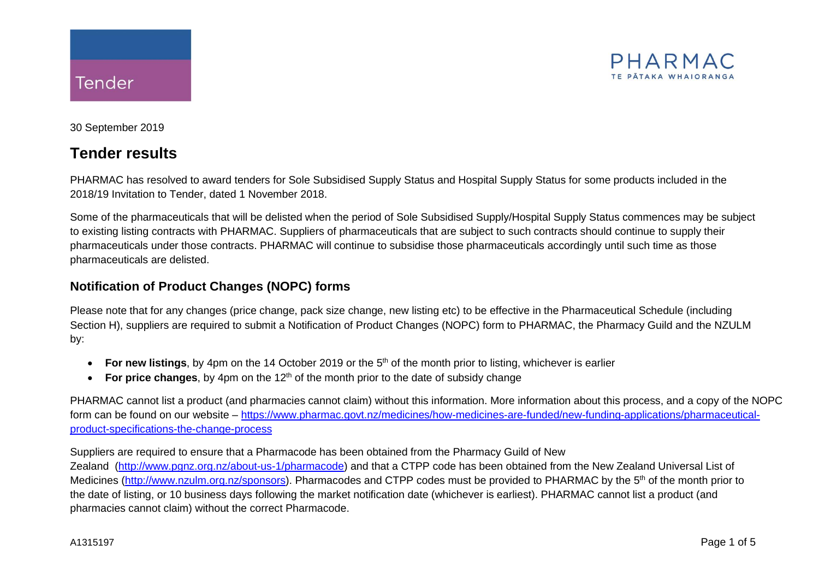



30 September 2019

# **Tender results**

PHARMAC has resolved to award tenders for Sole Subsidised Supply Status and Hospital Supply Status for some products included in the 2018/19 Invitation to Tender, dated 1 November 2018.

Some of the pharmaceuticals that will be delisted when the period of Sole Subsidised Supply/Hospital Supply Status commences may be subject to existing listing contracts with PHARMAC. Suppliers of pharmaceuticals that are subject to such contracts should continue to supply their pharmaceuticals under those contracts. PHARMAC will continue to subsidise those pharmaceuticals accordingly until such time as those pharmaceuticals are delisted.

#### **Notification of Product Changes (NOPC) forms**

Please note that for any changes (price change, pack size change, new listing etc) to be effective in the Pharmaceutical Schedule (including Section H), suppliers are required to submit a Notification of Product Changes (NOPC) form to PHARMAC, the Pharmacy Guild and the NZULM by:

- For new listings, by 4pm on the 14 October 2019 or the 5<sup>th</sup> of the month prior to listing, whichever is earlier
- **For price changes**, by 4pm on the 12<sup>th</sup> of the month prior to the date of subsidy change

PHARMAC cannot list a product (and pharmacies cannot claim) without this information. More information about this process, and a copy of the NOPC form can be found on our website – [https://www.pharmac.govt.nz/medicines/how-medicines-are-funded/new-funding-applications/pharmaceutical](https://www.pharmac.govt.nz/medicines/how-medicines-are-funded/new-funding-applications/pharmaceutical-product-specifications-the-change-process)[product-specifications-the-change-process](https://www.pharmac.govt.nz/medicines/how-medicines-are-funded/new-funding-applications/pharmaceutical-product-specifications-the-change-process)

Suppliers are required to ensure that a Pharmacode has been obtained from the Pharmacy Guild of New

Zealand [\(http://www.pgnz.org.nz/about-us-1/pharmacode\)](http://www.pgnz.org.nz/about-us-1/pharmacode) and that a CTPP code has been obtained from the New Zealand Universal List of Medicines [\(http://www.nzulm.org.nz/sponsors\)](http://www.nzulm.org.nz/sponsors). Pharmacodes and CTPP codes must be provided to PHARMAC by the 5<sup>th</sup> of the month prior to the date of listing, or 10 business days following the market notification date (whichever is earliest). PHARMAC cannot list a product (and pharmacies cannot claim) without the correct Pharmacode.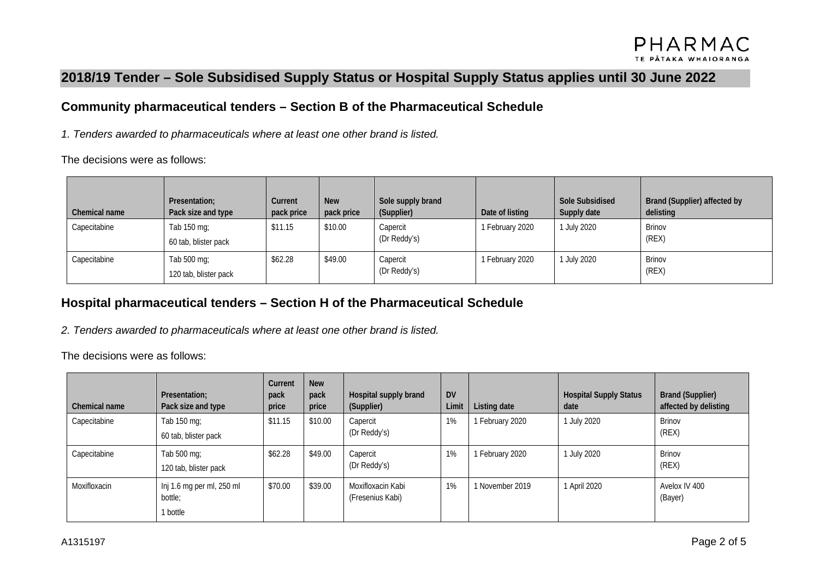# **2018/19 Tender – Sole Subsidised Supply Status or Hospital Supply Status applies until 30 June 2022**

#### **Community pharmaceutical tenders – Section B of the Pharmaceutical Schedule**

*1. Tenders awarded to pharmaceuticals where at least one other brand is listed.*

The decisions were as follows:

| Chemical name | Presentation;<br>Pack size and type  | Current<br>pack price | <b>New</b><br>pack price | Sole supply brand<br>(Supplier) | Date of listing | Sole Subsidised<br>Supply date | Brand (Supplier) affected by<br>delisting |
|---------------|--------------------------------------|-----------------------|--------------------------|---------------------------------|-----------------|--------------------------------|-------------------------------------------|
| Capecitabine  | Tab 150 mg;<br>60 tab, blister pack  | \$11.15               | \$10.00                  | Capercit<br>(Dr Reddy's)        | 1 February 2020 | <b>July 2020</b>               | <b>Brinov</b><br>(REX)                    |
| Capecitabine  | Tab 500 mg;<br>120 tab, blister pack | \$62.28               | \$49.00                  | Capercit<br>(Dr Reddy's)        | 1 February 2020 | <b>July 2020</b>               | <b>Brinov</b><br>(REX)                    |

### **Hospital pharmaceutical tenders – Section H of the Pharmaceutical Schedule**

*2. Tenders awarded to pharmaceuticals where at least one other brand is listed.*

The decisions were as follows:

| Chemical name | Presentation;<br>Pack size and type              | Current<br>pack<br>price | <b>New</b><br>pack<br>price | Hospital supply brand<br>(Supplier)   | <b>DV</b><br>Limit | Listing date    | <b>Hospital Supply Status</b><br>date | <b>Brand (Supplier)</b><br>affected by delisting |
|---------------|--------------------------------------------------|--------------------------|-----------------------------|---------------------------------------|--------------------|-----------------|---------------------------------------|--------------------------------------------------|
| Capecitabine  | Tab 150 mg;<br>60 tab, blister pack              | \$11.15                  | \$10.00                     | Capercit<br>(Dr Reddy's)              | 1%                 | 1 February 2020 | 1 July 2020                           | <b>Brinov</b><br>(REX)                           |
| Capecitabine  | Tab 500 mg;<br>120 tab, blister pack             | \$62.28                  | \$49.00                     | Capercit<br>(Dr Reddy's)              | 1%                 | 1 February 2020 | 1 July 2020                           | <b>Brinov</b><br>(REX)                           |
| Moxifloxacin  | Inj 1.6 mg per ml, 250 ml<br>bottle;<br>1 bottle | \$70.00                  | \$39.00                     | Moxifloxacin Kabi<br>(Fresenius Kabi) | 1%                 | 1 November 2019 | 1 April 2020                          | Avelox IV 400<br>(Bayer)                         |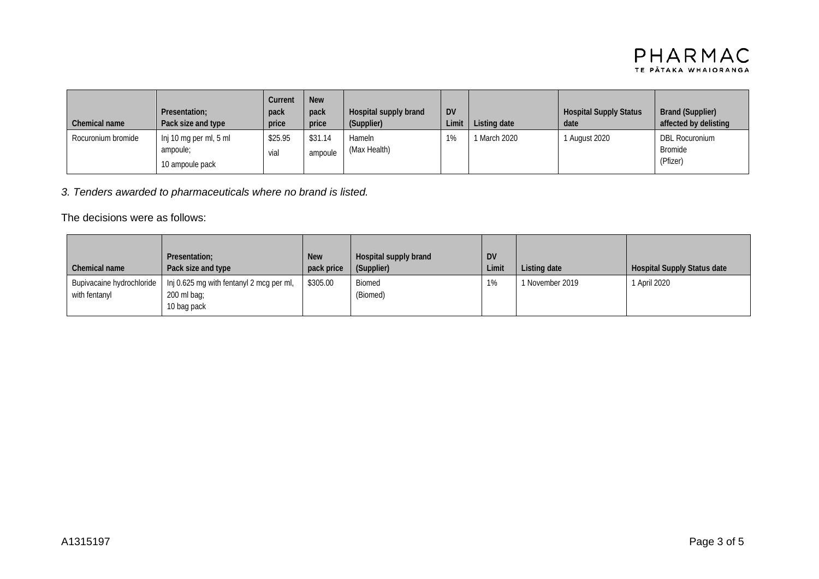

| Chemical name      | Presentation:<br>Pack size and type                   | Current<br>pack<br>price | <b>New</b><br>pack<br>price | Hospital supply brand<br>(Supplier) | <b>DV</b><br>Limit | Listing date | <b>Hospital Supply Status</b><br>date | <b>Brand (Supplier)</b><br>affected by delisting |
|--------------------|-------------------------------------------------------|--------------------------|-----------------------------|-------------------------------------|--------------------|--------------|---------------------------------------|--------------------------------------------------|
| Rocuronium bromide | Inj 10 mg per ml, 5 ml<br>ampoule;<br>10 ampoule pack | \$25.95<br>vial          | \$31.14<br>ampoule          | Hameln<br>(Max Health)              | 1%                 | 1 March 2020 | August 2020                           | <b>DBL Rocuronium</b><br>Bromide<br>(Pfizer)     |

*3. Tenders awarded to pharmaceuticals where no brand is listed.*

#### The decisions were as follows:

| Chemical name                              | Presentation;<br>Pack size and type                                    | <b>New</b><br>pack price | Hospital supply brand<br>(Supplier) | <b>DV</b><br>Limit | Listing date    | <b>Hospital Supply Status date</b> |
|--------------------------------------------|------------------------------------------------------------------------|--------------------------|-------------------------------------|--------------------|-----------------|------------------------------------|
| Bupivacaine hydrochloride<br>with fentanyl | Inj 0.625 mg with fentanyl 2 mcg per ml,<br>200 ml bag;<br>10 bag pack | \$305.00                 | <b>Biomed</b><br>(Biomed)           | 1%                 | 1 November 2019 | 1 April 2020                       |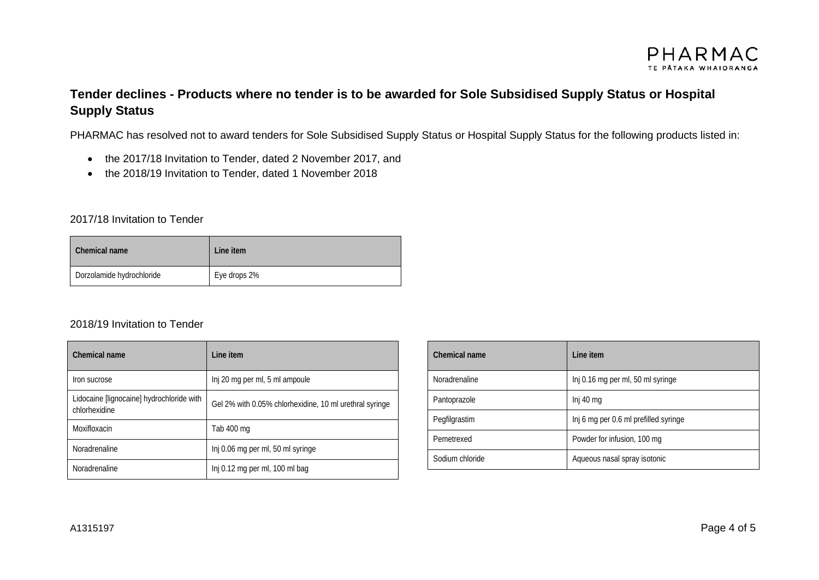

# **Tender declines - Products where no tender is to be awarded for Sole Subsidised Supply Status or Hospital Supply Status**

PHARMAC has resolved not to award tenders for Sole Subsidised Supply Status or Hospital Supply Status for the following products listed in:

- · the 2017/18 Invitation to Tender, dated 2 November 2017, and
- · the 2018/19 Invitation to Tender, dated 1 November 2018

#### 2017/18 Invitation to Tender

| Chemical name             | Line item    |
|---------------------------|--------------|
| Dorzolamide hydrochloride | Eye drops 2% |

#### 2018/19 Invitation to Tender

| Chemical name                                              | Line item                                               |
|------------------------------------------------------------|---------------------------------------------------------|
| Iron sucrose                                               | Inj 20 mg per ml, 5 ml ampoule                          |
| Lidocaine [lignocaine] hydrochloride with<br>chlorhexidine | Gel 2% with 0.05% chlorhexidine, 10 ml urethral syringe |
| Moxifloxacin                                               | Tab 400 mg                                              |
| <b>Noradrenaline</b>                                       | Inj 0.06 mg per ml, 50 ml syringe                       |
| <b>Noradrenaline</b>                                       | Inj 0.12 mg per ml, 100 ml bag                          |

| Chemical name        | I ine item                            |
|----------------------|---------------------------------------|
| <b>Noradrenaline</b> | Inj 0.16 mg per ml, 50 ml syringe     |
| Pantoprazole         | Inj 40 mg                             |
| Pegfilgrastim        | Inj 6 mg per 0.6 ml prefilled syringe |
| Pemetrexed           | Powder for infusion, 100 mg           |
| Sodium chloride      | Aqueous nasal spray isotonic          |